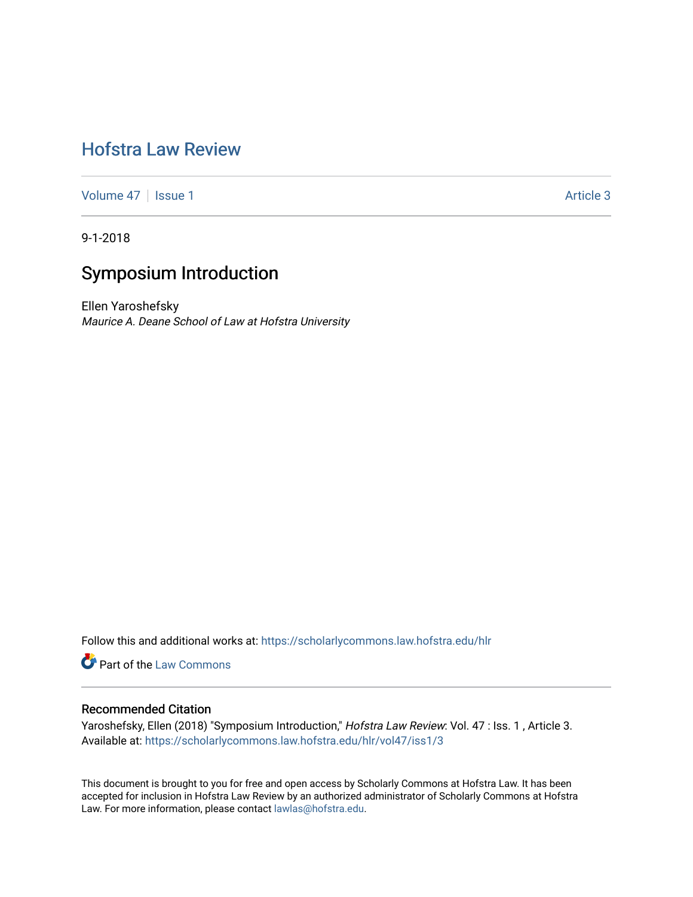## [Hofstra Law Review](https://scholarlycommons.law.hofstra.edu/hlr)

[Volume 47](https://scholarlycommons.law.hofstra.edu/hlr/vol47) | [Issue 1](https://scholarlycommons.law.hofstra.edu/hlr/vol47/iss1) Article 3

9-1-2018

# Symposium Introduction

Ellen Yaroshefsky Maurice A. Deane School of Law at Hofstra University

Follow this and additional works at: [https://scholarlycommons.law.hofstra.edu/hlr](https://scholarlycommons.law.hofstra.edu/hlr?utm_source=scholarlycommons.law.hofstra.edu%2Fhlr%2Fvol47%2Fiss1%2F3&utm_medium=PDF&utm_campaign=PDFCoverPages)

**Part of the [Law Commons](http://network.bepress.com/hgg/discipline/578?utm_source=scholarlycommons.law.hofstra.edu%2Fhlr%2Fvol47%2Fiss1%2F3&utm_medium=PDF&utm_campaign=PDFCoverPages)** 

## Recommended Citation

Yaroshefsky, Ellen (2018) "Symposium Introduction," Hofstra Law Review: Vol. 47 : Iss. 1, Article 3. Available at: [https://scholarlycommons.law.hofstra.edu/hlr/vol47/iss1/3](https://scholarlycommons.law.hofstra.edu/hlr/vol47/iss1/3?utm_source=scholarlycommons.law.hofstra.edu%2Fhlr%2Fvol47%2Fiss1%2F3&utm_medium=PDF&utm_campaign=PDFCoverPages)

This document is brought to you for free and open access by Scholarly Commons at Hofstra Law. It has been accepted for inclusion in Hofstra Law Review by an authorized administrator of Scholarly Commons at Hofstra Law. For more information, please contact [lawlas@hofstra.edu.](mailto:lawlas@hofstra.edu)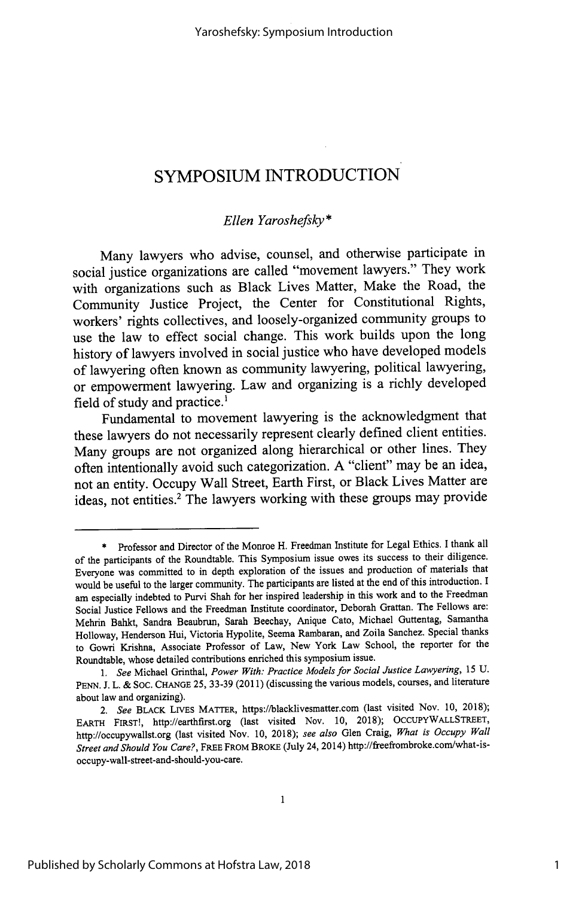## **SYMPOSIUM INTRODUCTION**

## *Ellen Yaroshefsky\**

Many lawyers who advise, counsel, and otherwise participate in social justice organizations are called "movement lawyers." They work with organizations such as Black Lives Matter, Make the Road, the Community Justice Project, the Center for Constitutional Rights, workers' rights collectives, and loosely-organized community groups to use the law to effect social change. This work builds upon the long history of lawyers involved in social justice who have developed models of lawyering often known as community lawyering, political lawyering, or empowerment lawyering. Law and organizing is a richly developed field of study and practice.<sup>1</sup>

Fundamental to movement lawyering is the acknowledgment that these lawyers do not necessarily represent clearly defined client entities. Many groups are not organized along hierarchical or other lines. They often intentionally avoid such categorization. A "client" may be an idea, not an entity. Occupy Wall Street, Earth First, or Black Lives Matter are ideas, not entities.<sup>2</sup> The lawyers working with these groups may provide

<sup>\*</sup> Professor and Director of the Monroe H. Freedman Institute for Legal Ethics. I thank all of the participants of the Roundtable. This Symposium issue owes its success to their diligence. Everyone was committed to in depth exploration of the issues and production of materials that would be useful to the larger community. The participants are listed at the end of this introduction. I am especially indebted to Purvi Shah for her inspired leadership in this work and to the Freedman Social Justice Fellows and the Freedman Institute coordinator, Deborah Grattan. The Fellows are: Mehrin Bahkt, Sandra Beaubrun, Sarah Beechay, Anique Cato, Michael Guttentag, Samantha Holloway, Henderson Hui, Victoria Hypolite, Seema Rambaran, and Zoila Sanchez. Special thanks to Gowri Krishna, Associate Professor of Law, New York Law School, the reporter for the Roundtable, whose detailed contributions enriched this symposium issue.

*<sup>1.</sup> See* Michael Grinthal, *Power With: Practice Models for Social Justice Lawyering,* 15 U. PENN. J. L. & SOC. CHANGE 25, 33-39 (2011) (discussing the various models, courses, and literature about law and organizing).

*<sup>2.</sup> See* BLACK LIVES MATTER, https://blacklivesmatter.com (last visited Nov. 10, 2018); EARTH FIRSTI, http://earthfirst.org (last visited Nov. 10, 2018); OCCUPYWALLSTREET, http://occupywallst.org (last visited Nov. 10, 2018); *see also* Glen Craig, *What is Occupy Wall Street and Should You Care?,* FREE FROM BRoKE (July 24, 2014) http://freefrombroke.com/what-isoccupy-wall-street-and-should-you-care.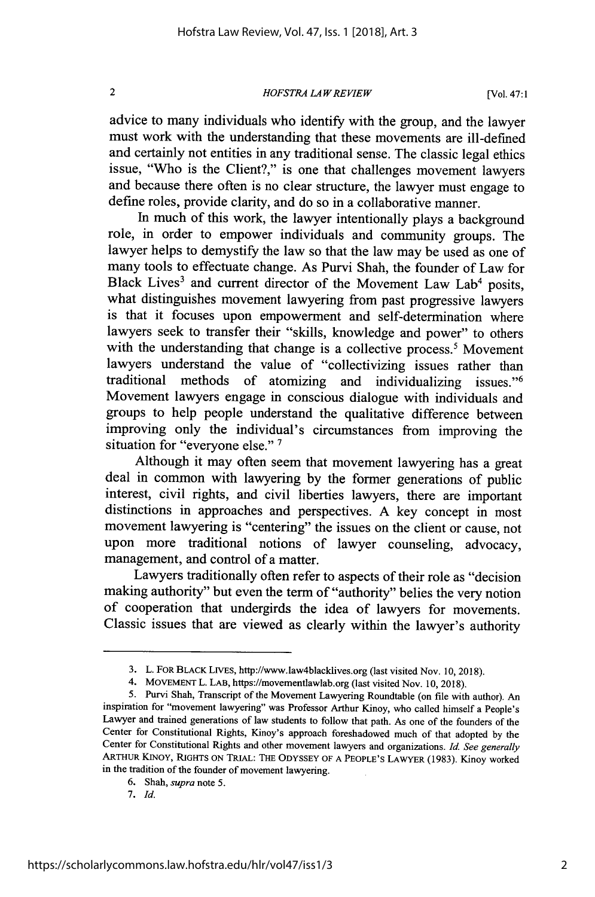### *HOFSTRA LA W REVIEW*

advice to many individuals who identify with the group, and the lawyer must work with the understanding that these movements are ill-defined and certainly not entities in any traditional sense. The classic legal ethics issue, "Who is the Client?," is one that challenges movement lawyers and because there often is no clear structure, the lawyer must engage to define roles, provide clarity, and do so in a collaborative manner.

In much of this work, the lawyer intentionally plays a background role, in order to empower individuals and community groups. The lawyer helps to demystify the law so that the law may be used as one of many tools to effectuate change. As Purvi Shah, the founder of Law for Black Lives<sup>3</sup> and current director of the Movement Law Lab<sup>4</sup> posits, what distinguishes movement lawyering from past progressive lawyers is that it focuses upon empowerment and self-determination where lawyers seek to transfer their "skills, knowledge and power" to others with the understanding that change is a collective process.<sup>5</sup> Movement lawyers understand the value of "collectivizing issues rather than traditional methods of atomizing and individualizing issues."<sup>6</sup> Movement lawyers engage in conscious dialogue with individuals and groups to help people understand the qualitative difference between improving only the individual's circumstances from improving the situation for "everyone else." **I**

Although it may often seem that movement lawyering has a great deal in common with lawyering by the former generations of public interest, civil rights, and civil liberties lawyers, there are important distinctions in approaches and perspectives. A key concept in most movement lawyering is "centering" the issues on the client or cause, not upon more traditional notions of lawyer counseling, advocacy, management, and control of a matter.

Lawyers traditionally often refer to aspects of their role as "decision making authority" but even the term of "authority" belies the very notion of cooperation that undergirds the idea of lawyers for movements. Classic issues that are viewed as clearly within the lawyer's authority

 $\overline{2}$ 

<sup>3.</sup> L. FOR BLACK LIVES, http://www.law4blacklives.org (last visited Nov. 10, 2018).

<sup>4.</sup> MOVEMENT L. LAB, https://movementlawlab.org (last visited Nov. 10, 2018).

<sup>5.</sup> Purvi Shah, Transcript of the Movement Lawyering Roundtable (on file with author). An inspiration for "movement lawyering" was Professor Arthur Kinoy, who called himself a People's Lawyer and trained generations of law students to follow that path. As one of the founders of the Center for Constitutional Rights, Kinoy's approach foreshadowed much of that adopted by the Center for Constitutional Rights and other movement lawyers and organizations. *Id. See generally* ARTHUR KINOY, RIGHTS ON TRIAL: THE ODYSSEY OF A PEOPLE'S LAWYER (1983). Kinoy worked in the tradition of the founder of movement lawyering.

<sup>6.</sup> Shah, *supra* note 5.

<sup>7.</sup> *Id.*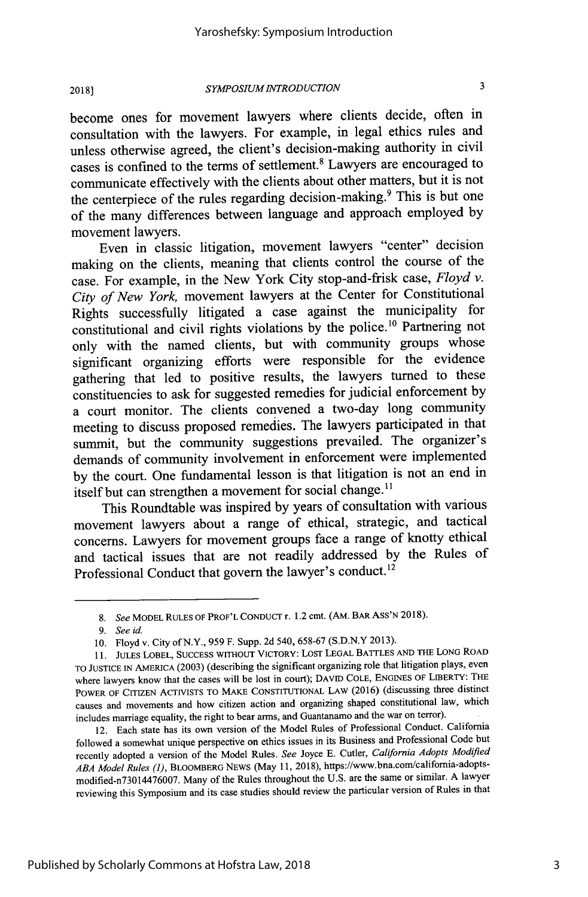$\mathbf{a}$ 

**2018]**

### *SYMPOSIUM1NTRODUCTION*

become ones for movement lawyers where clients decide, often in consultation with the lawyers. For example, in legal ethics rules and unless otherwise agreed, the client's decision-making authority in civil cases is confined to the terms of settlement.<sup>8</sup> Lawyers are encouraged to communicate effectively with the clients about other matters, but it is not the centerpiece of the rules regarding decision-making.<sup>9</sup> This is but one of the many differences between language and approach employed **by** movement lawyers.

Even in classic litigation, movement lawyers "center" decision making on the clients, meaning that clients control the course of the case. For example, in the New York City stop-and-frisk case, *Floyd v. City of New York,* movement lawyers at the Center for Constitutional Rights successfully litigated a case against the municipality for constitutional and civil rights violations by the police.<sup>10</sup> Partnering not only with the named clients, but with community groups whose significant organizing efforts were responsible for the evidence gathering that led to positive results, the lawyers turned to these constituencies to ask for suggested remedies for judicial enforcement **by** a court monitor. The clients convened a two-day long community meeting to discuss proposed remedies. The lawyers participated in that summit, but the community suggestions prevailed. The organizer's demands of community involvement in enforcement were implemented **by** the court. One fundamental lesson is that litigation is not an end in itself but can strengthen a movement for social change.<sup>11</sup>

This Roundtable was inspired **by** years of consultation with various movement lawyers about a range of ethical, strategic, and tactical concerns. Lawyers for movement groups face a range of knotty ethical and tactical issues that are not readily addressed **by** the Rules of Professional Conduct that govern the lawyer's conduct.<sup>12</sup>

*<sup>8.</sup> See* MODEL **RULES** OF PROF'L CONDUCT r. 1.2 cmt. **(AM.** BAR ASS'N **2018).**

*<sup>9.</sup> Seeid.*

**<sup>10.</sup>** Floyd v. City of N.Y., **959** F. Supp. **2d** 540, **658-67 (S.D.N.Y 2013).**

**<sup>11.</sup> JULES** LOBEL, **SUCCESS** WITHOUT VICTORY: LOST **LEGAL** BATTLES **AND** THE LONG ROAD TO **JUSTICE** IN **AMERICA (2003)** (describing the significant organizing role that litigation plays, even where lawyers know that the cases will be lost in court); **DAVID COLE, ENGINES** OF LIBERTY: THE POWER OF CITIZEN ACTIVISTS TO MAKE **CONSTITUTIONAL LAW (2016)** (discussing three distinct causes and movements and how citizen action and organizing shaped constitutional law, which includes marriage equality, the right to bear arms, and Guantanamo and the war on terror).

<sup>12.</sup> Each state has its own version of the Model Rules of Professional Conduct. California followed a somewhat unique perspective on ethics issues in its Business and Professional Code but recently adopted a version of the Model Rules. *See* Joyce **E.** Cutler, *California Adopts Modified* **ABA** *Model Rules (1),* BLOOMBERG NEWS (May **11, 2018),** https://www.bna.com/califormia-adoptsmodified-n73014476007. Many of the Rules throughout the **U.S.** are the same or similar. **A** lawyer reviewing this Symposium and its case studies should review the particular version of Rules in that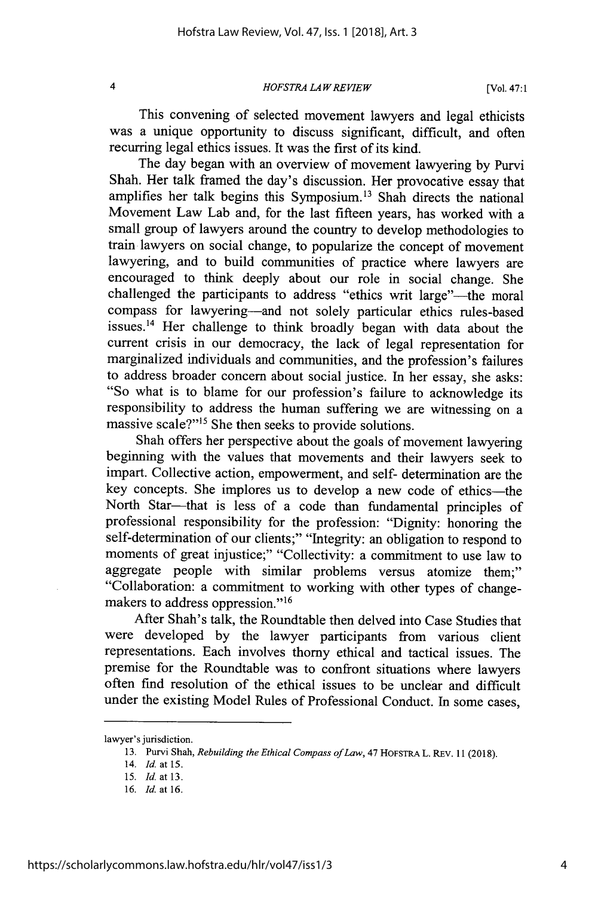$\overline{\mathbf{4}}$ 

*HOFSTRA LA W REVIEW*

This convening of selected movement lawyers and legal ethicists was a unique opportunity to discuss significant, difficult, and often recurring legal ethics issues. It was the first of its kind.

The day began with an overview of movement lawyering by Purvi Shah. Her talk framed the day's discussion. Her provocative essay that amplifies her talk begins this Symposium.<sup>13</sup> Shah directs the national Movement Law Lab and, for the last fifteen years, has worked with a small group of lawyers around the country to develop methodologies to train lawyers on social change, to popularize the concept of movement lawyering, and to build communities of practice where lawyers are encouraged to think deeply about our role in social change. She challenged the participants to address "ethics writ large"—the moral compass for lawyering-and not solely particular ethics rules-based issues.<sup>14</sup> Her challenge to think broadly began with data about the current crisis in our democracy, the lack of legal representation for marginalized individuals and communities, and the profession's failures to address broader concern about social justice. In her essay, she asks: "So what is to blame for our profession's failure to acknowledge its responsibility to address the human suffering we are witnessing on a massive scale?"<sup>15</sup> She then seeks to provide solutions.

Shah offers her perspective about the goals of movement lawyering beginning with the values that movements and their lawyers seek to impart. Collective action, empowerment, and self- determination are the key concepts. She implores us to develop a new code of ethics-the North Star-that is less of a code than fundamental principles of professional responsibility for the profession: "Dignity: honoring the self-determination of our clients;" "Integrity: an obligation to respond to moments of great injustice;" "Collectivity: a commitment to use law to aggregate people with similar problems versus atomize them;" "Collaboration: a commitment to working with other types of changemakers to address oppression."<sup>16</sup>

After Shah's talk, the Roundtable then delved into Case Studies that were developed by the lawyer participants from various client representations. Each involves thorny ethical and tactical issues. The premise for the Roundtable was to confront situations where lawyers often fird resolution of the ethical issues to be unclear and difficult under the existing Model Rules of Professional Conduct. In some cases,

lawyer's jurisdiction.

<sup>13.</sup> Purvi Shah, *Rebuilding the Ethical Compass of Law,* 47 HOFSTRA L. REV. 11 (2018).

<sup>14.</sup> *Id.* at 15.

*<sup>15.</sup> Id.* at 13.

<sup>16.</sup> *Id.* at 16.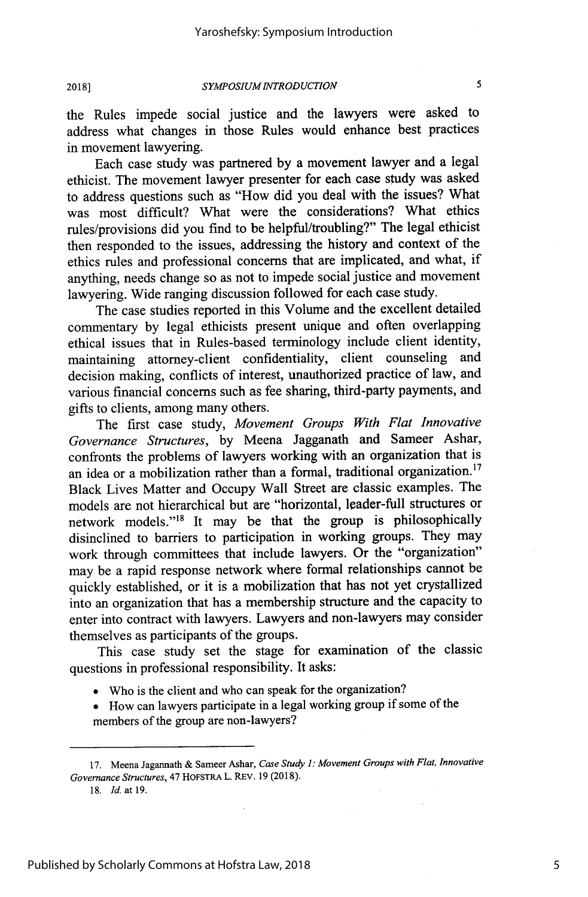5

**2018]**

### *SYMPOSIUM INTRODUCTION*

the Rules impede social justice and the lawyers were asked to address what changes in those Rules would enhance best practices in movement lawyering.

Each case study was partnered by a movement lawyer and a legal ethicist. The movement lawyer presenter for each case study was asked to address questions such as "How did you deal with the issues? What was most difficult? What were the considerations? What ethics rules/provisions did you find to be helpful/troubling?" The legal ethicist then responded to the issues, addressing the history and context of the ethics rules and professional concerns that are implicated, and what, if anything, needs change so as not to impede social justice and movement lawyering. Wide ranging discussion followed for each case study.

The case studies reported in this Volume and the excellent detailed commentary by legal ethicists present unique and often overlapping ethical issues that in Rules-based terminology include client identity, maintaining attorney-client confidentiality, client counseling and decision making, conflicts of interest, unauthorized practice of law, and various financial concerns such as fee sharing, third-party payments, and gifts to clients, among many others.

The first case study, *Movement Groups With Flat Innovative Governance Structures,* by Meena Jagganath and Sameer Ashar, confronts the problems of lawyers working with an organization that is an idea or a mobilization rather than a formal, traditional organization.<sup>17</sup> Black Lives Matter and Occupy Wall Street are classic examples. The models are not hierarchical but are "horizontal, leader-full structures or network models."<sup>18</sup> It may be that the group is philosophically disinclined to barriers to participation in working groups. They may work through committees that include lawyers. Or the "organization" may be a rapid response network where formal relationships cannot be quickly established, or it is a mobilization that has not yet crystallized into an organization that has a membership structure and the capacity to enter into contract with lawyers. Lawyers and non-lawyers may consider themselves as participants of the groups.

This case study set the stage for examination of the classic questions in professional responsibility. It asks:

- **"** Who is the client and who can speak for the organization?
- **"** How can lawyers participate in a legal working group if some of the members of the group are non-lawyers?

<sup>17.</sup> Meena Jagannath & Sameer Ashar, Case *Study* **1:** Movement Groups with Flat, Innovative Governance Structures, 47 **HOFSTRA L.** REv. 19 (2018).

<sup>18.</sup> *Id.* at 19.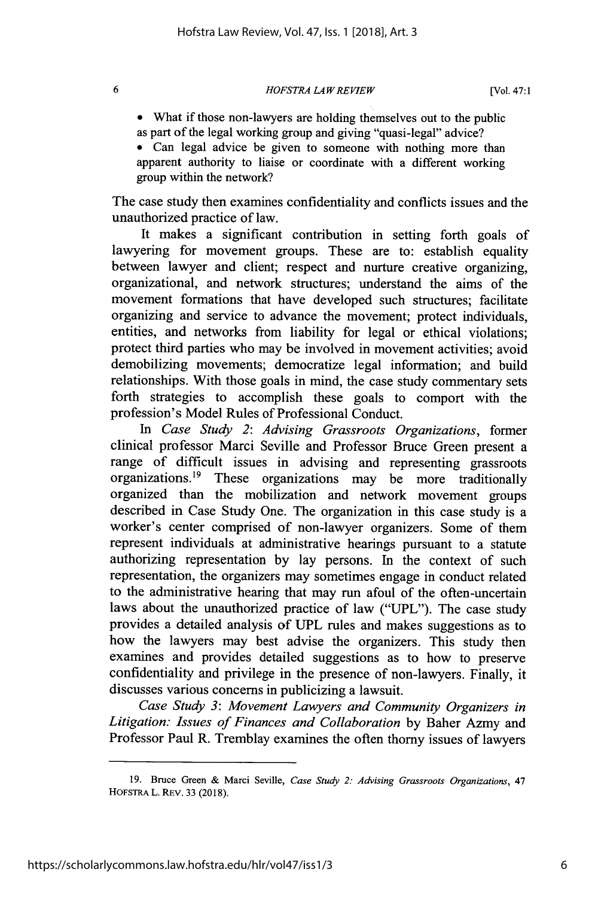*HOFSTRA LA W REVIEW*

**\*** What if those non-lawyers are holding themselves out to the public as part of the legal working group and giving "quasi-legal" advice?

**\*** Can legal advice be given to someone with nothing more than apparent authority to liaise or coordinate with a different working group within the network?

The case study then examines confidentiality and conflicts issues and the unauthorized practice of law.

It makes a significant contribution in setting forth goals of lawyering for movement groups. These are to: establish equality between lawyer and client; respect and nurture creative organizing, organizational, and network structures; understand the aims of the movement formations that have developed such structures; facilitate organizing and service to advance the movement; protect individuals, entities, and networks from liability for legal or ethical violations; protect third parties who may be involved in movement activities; avoid demobilizing movements; democratize legal information; and build relationships. With those goals in mind, the case study commentary sets forth strategies to accomplish these goals to comport with the profession's Model Rules of Professional Conduct.

*In Case Study 2: Advising Grassroots Organizations,* former clinical professor Marci Seville and Professor Bruce Green present a range of difficult issues in advising and representing grassroots organizations.<sup>19</sup> These organizations may be more traditionally organized than the mobilization and network movement groups described in Case Study One. The organization in this case study is a worker's center comprised of non-lawyer organizers. Some of them represent individuals at administrative hearings pursuant to a statute authorizing representation by lay persons. In the context of such representation, the organizers may sometimes engage in conduct related to the administrative hearing that may run afoul of the often-uncertain laws about the unauthorized practice of law ("UPL"). The case study provides a detailed analysis of JPL rules and makes suggestions as to how the lawyers may best advise the organizers. This study then examines and provides detailed suggestions as to how to preserve confidentiality and privilege in the presence of non-lawyers. Finally, it discusses various concerns in publicizing a lawsuit.

*Case Study 3: Movement Lawyers and Community Organizers in Litigation: Issues of Finances and Collaboration* by Baher Azmy and Professor Paul R. Tremblay examines the often thorny issues of lawyers

6

<sup>19.</sup> Bruce Green & Marci Seville, *Case Study 2: Advising Grassroots Organizations,* 47 HOFSTRA L. REv. 33 (2018).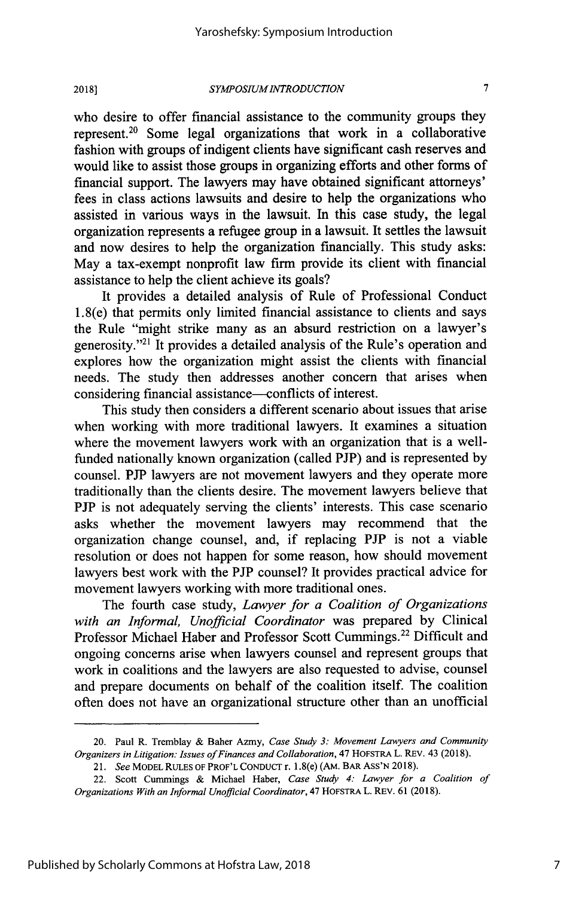**2018]**

### *SYMPOSIUM INTRODUCTION*

who desire to offer financial assistance to the community groups they represent.20 Some legal organizations that work in a collaborative fashion with groups of indigent clients have significant cash reserves and would like to assist those groups in organizing efforts and other forms of financial support. The lawyers may have obtained significant attorneys' fees in class actions lawsuits and desire to help the organizations who assisted in various ways in the lawsuit. In this case study, the legal organization represents a refugee group in a lawsuit. It settles the lawsuit and now desires to help the organization financially. This study asks: May a tax-exempt nonprofit law firm provide its client with financial assistance to help the client achieve its goals?

It provides a detailed analysis of Rule of Professional Conduct 1.8(e) that permits only limited financial assistance to clients and says the Rule "might strike many as an absurd restriction on a lawyer's generosity. '21 It provides a detailed analysis of the Rule's operation and explores how the organization might assist the clients with financial needs. The study then addresses another concern that arises when considering financial assistance--conflicts of interest.

This study then considers a different scenario about issues that arise when working with more traditional lawyers. It examines a situation where the movement lawyers work with an organization that is a wellfunded nationally known organization (called PJP) and is represented by counsel. **PJP** lawyers are not movement lawyers and they operate more traditionally than the clients desire. The movement lawyers believe that **PJP** is not adequately serving the clients' interests. This case scenario asks whether the movement lawyers may recommend that the organization change counsel, and, if replacing **PJP** is not a viable resolution or does not happen for some reason, how should movement lawyers best work with the PJP counsel? It provides practical advice for movement lawyers working with more traditional ones.

The fourth case study, *Lawyer for a Coalition of Organizations with an Informal, Unofficial Coordinator* was prepared by Clinical Professor Michael Haber and Professor Scott Cummings.<sup>22</sup> Difficult and ongoing concerns arise when lawyers counsel and represent groups that work in coalitions and the lawyers are also requested to advise, counsel and prepare documents on behalf of the coalition itself. The coalition often does not have an organizational structure other than an unofficial

<sup>20.</sup> Paul R. Tremblay & Baher Azmy, *Case Study 3: Movement Lawyers and Community Organizers in Litigation: Issues of Finances and Collaboration,* 47 HOFSTRA L. REV. 43 (2018).

<sup>21.</sup> *See* MODEL RULES OF PROF'L CONDUCT r. 1.8(e) (AM. BAR **ASS'N** 2018).

<sup>22.</sup> Scott Cummings & Michael Haber, *Case Study 4: Lawyer for a Coalition of Organizations With an Informal Unofficial Coordinator,* 47 HOFSTRA L. REV. 61 (2018).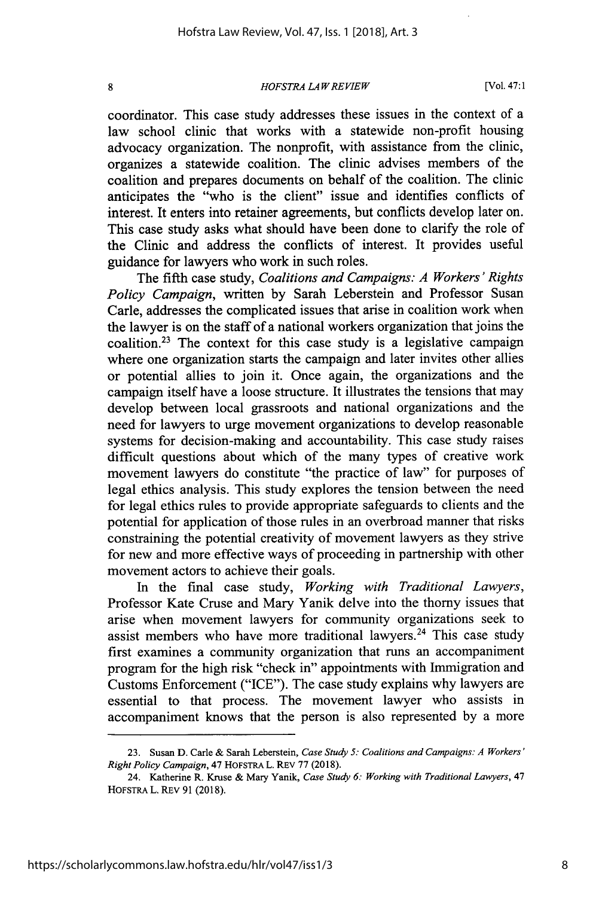8

*HOFSTRA LA W REVIEW*

[Vol. 47:1

coordinator. This case study addresses these issues in the context of a law school clinic that works with a statewide non-profit housing advocacy organization. The nonprofit, with assistance from the clinic, organizes a statewide coalition. The clinic advises members of the coalition and prepares documents on behalf of the coalition. The clinic anticipates the "who is the client" issue and identifies conflicts of interest. It enters into retainer agreements, but conflicts develop later on. This case study asks what should have been done to clarify the role of the Clinic and address the conflicts of interest. It provides useful guidance for lawyers who work in such roles.

The fifth case study, *Coalitions and Campaigns: A Workers' Rights Policy Campaign,* written by Sarah Leberstein and Professor Susan Carle, addresses the complicated issues that arise in coalition work when the lawyer is on the staff of a national workers organization that joins the coalition.<sup>23</sup> The context for this case study is a legislative campaign where one organization starts the campaign and later invites other allies or potential allies to join it. Once again, the organizations and the campaign itself have a loose structure. It illustrates the tensions that may develop between local grassroots and national organizations and the need for lawyers to urge movement organizations to develop reasonable systems for decision-making and accountability. This case study raises difficult questions about which of the many types of creative work movement lawyers do constitute "the practice of law" for purposes of legal ethics analysis. This study explores the tension between the need for legal ethics rules to provide appropriate safeguards to clients and the potential for application of those rules in an overbroad manner that risks constraining the potential creativity of movement lawyers as they strive for new and more effective ways of proceeding in partnership with other movement actors to achieve their goals.

In the final case study, *Working with Traditional Lawyers,* Professor Kate Cruse and Mary Yanik delve into the thorny issues that arise when movement lawyers for community organizations seek to assist members who have more traditional lawyers.<sup>24</sup> This case study first examines a community organization that runs an accompaniment program for the high risk "check in" appointments with Immigration and Customs Enforcement ("ICE"). The case study explains why lawyers are essential to that process. The movement lawyer who assists in accompaniment knows that the person is also represented by a more

<sup>23.</sup> Susan D. Carle & Sarah Leberstein, *Case Study 5: Coalitions and Campaigns: A Workers' Right Policy Campaign,* 47 HOFSTRA L. REV 77 (2018).

<sup>24.</sup> Katherine R. Kruse & Mary Yanik, *Case Study 6: Working with Traditional Lawyers,* 47 HOFSTRA L. REV 91 (2018).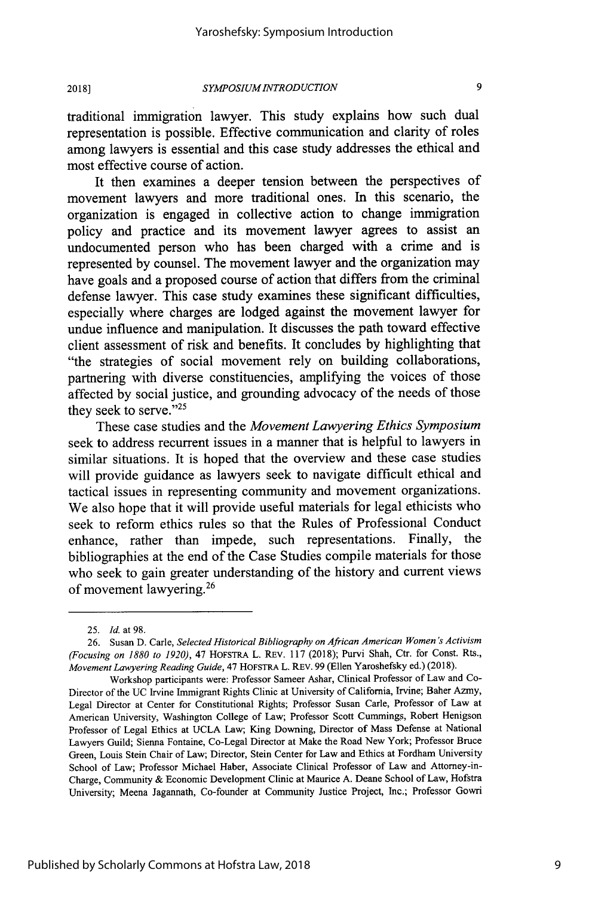**2018]**

traditional immigration lawyer. This study explains how such dual representation is possible. Effective communication and clarity of roles among lawyers is essential and this case study addresses the ethical and most effective course of action.

It then examines a deeper tension between the perspectives of movement lawyers and more traditional ones. In this scenario, the organization is engaged in collective action to change immigration policy and practice and its movement lawyer agrees to assist an undocumented person who has been charged with a crime and is represented by counsel. The movement lawyer and the organization may have goals and a proposed course of action that differs from the criminal defense lawyer. This case study examines these significant difficulties, especially where charges are lodged against the movement lawyer for undue influence and manipulation. It discusses the path toward effective client assessment of risk and benefits. It concludes by highlighting that "the strategies of social movement rely on building collaborations, partnering with diverse constituencies, amplifying the voices of those affected by social justice, and grounding advocacy of the needs of those they seek to serve."<sup>25</sup>

These case studies and the *Movement Lawyering Ethics Symposium* seek to address recurrent issues in a manner that is helpful to lawyers in similar situations. It is hoped that the overview and these case studies will provide guidance as lawyers seek to navigate difficult ethical and tactical issues in representing community and movement organizations. We also hope that it will provide useful materials for legal ethicists who seek to reform ethics rules so that the Rules of Professional Conduct enhance, rather than impede, such representations. Finally, the bibliographies at the end of the Case Studies compile materials for those who seek to gain greater understanding of the history and current views of movement lawyering. <sup>2</sup>

<sup>25.</sup> Id. at 98.

<sup>26.</sup> Susan D. Carle, *Selected Historical Bibliography on African American Women 's Activism (Focusing on 1880 to 1920),* 47 HOFsTRA L. REv. 117 (2018); Purvi Shah, Ctr. for Const. Rts., *Movement Lawyering Reading Guide,* 47 HOFSTRA L. REV. 99 (Ellen Yaroshefsky ed.) (2018).

Workshop participants were: Professor Sameer Ashar, Clinical Professor of Law and Co-Director of the UC Irvine Immigrant Rights Clinic at University of California, Irvine; Baher Azmy, Legal Director at Center for Constitutional Rights; Professor Susan Carle, Professor of Law at American University, Washington College of Law; Professor Scott Cummings, Robert Henigson Professor of Legal Ethics at UCLA Law; King Downing, Director of Mass Defense at National Lawyers Guild; Sienna Fontaine, Co-Legal Director at Make the Road New York; Professor Bruce Green, Louis Stein Chair of Law; Director, Stein Center for Law and Ethics at Fordham University School of Law; Professor Michael Haber, Associate Clinical Professor of Law and Attorney-in-Charge, Community & Economic Development Clinic at Maurice A. Deane School of Law, Hofstra University; Meena Jagannath, Co-founder at Community Justice Project, Inc.; Professor Gowri